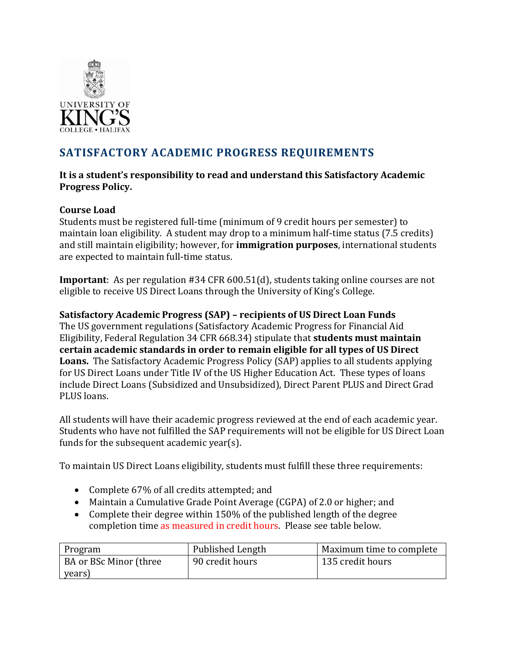

# **SATISFACTORY ACADEMIC PROGRESS REQUIREMENTS**

### **It is a student's responsibility to read and understand this Satisfactory Academic Progress Policy.**

## **Course Load**

Students must be registered full-time (minimum of 9 credit hours per semester) to maintain loan eligibility. A student may drop to a minimum half-time status (7.5 credits) and still maintain eligibility; however, for **immigration purposes**, international students are expected to maintain full-time status.

**Important**: As per regulation #34 CFR 600.51(d), students taking online courses are not eligible to receive US Direct Loans through the University of King's College.

## **Satisfactory Academic Progress (SAP) – recipients of US Direct Loan Funds**

The US government regulations (Satisfactory Academic Progress for Financial Aid Eligibility, Federal Regulation 34 CFR 668.34) stipulate that **students must maintain certain academic standards in order to remain eligible for all types of US Direct Loans.** The Satisfactory Academic Progress Policy (SAP) applies to all students applying for US Direct Loans under Title IV of the US Higher Education Act. These types of loans include Direct Loans (Subsidized and Unsubsidized), Direct Parent PLUS and Direct Grad PLUS loans.

All students will have their academic progress reviewed at the end of each academic year. Students who have not fulfilled the SAP requirements will not be eligible for US Direct Loan funds for the subsequent academic year(s).

To maintain US Direct Loans eligibility, students must fulfill these three requirements:

- Complete 67% of all credits attempted; and
- Maintain a Cumulative Grade Point Average (CGPA) of 2.0 or higher; and
- Complete their degree within 150% of the published length of the degree completion time as measured in credit hours. Please see table below.

| Program                | Published Length | Maximum time to complete |
|------------------------|------------------|--------------------------|
| BA or BSc Minor (three | 90 credit hours  | 135 credit hours         |
| years)                 |                  |                          |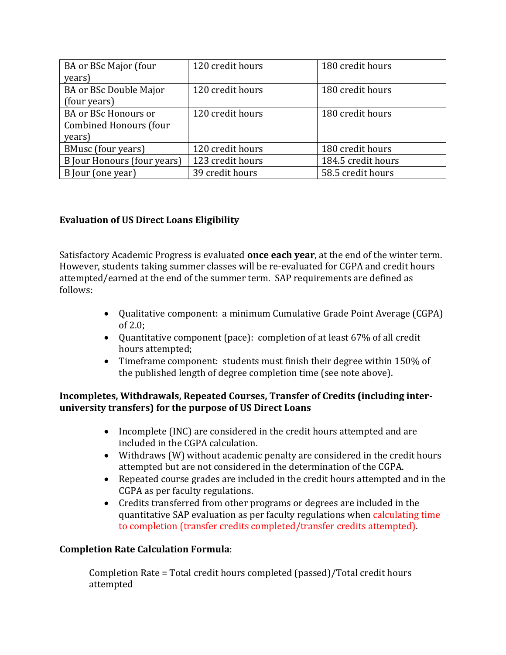| BA or BSc Major (four         | 120 credit hours | 180 credit hours   |
|-------------------------------|------------------|--------------------|
| years)                        |                  |                    |
| <b>BA or BSc Double Major</b> | 120 credit hours | 180 credit hours   |
| (four years)                  |                  |                    |
| <b>BA or BSc Honours or</b>   | 120 credit hours | 180 credit hours   |
| <b>Combined Honours (four</b> |                  |                    |
| years)                        |                  |                    |
| <b>BMusc</b> (four years)     | 120 credit hours | 180 credit hours   |
| B Jour Honours (four years)   | 123 credit hours | 184.5 credit hours |
| B Jour (one year)             | 39 credit hours  | 58.5 credit hours  |

## **Evaluation of US Direct Loans Eligibility**

Satisfactory Academic Progress is evaluated **once each year**, at the end of the winter term. However, students taking summer classes will be re-evaluated for CGPA and credit hours attempted/earned at the end of the summer term. SAP requirements are defined as follows:

- Qualitative component: a minimum Cumulative Grade Point Average (CGPA) of 2.0;
- Quantitative component (pace): completion of at least 67% of all credit hours attempted;
- Timeframe component: students must finish their degree within 150% of the published length of degree completion time (see note above).

### **Incompletes, Withdrawals, Repeated Courses, Transfer of Credits (including interuniversity transfers) for the purpose of US Direct Loans**

- Incomplete (INC) are considered in the credit hours attempted and are included in the CGPA calculation.
- Withdraws (W) without academic penalty are considered in the credit hours attempted but are not considered in the determination of the CGPA.
- Repeated course grades are included in the credit hours attempted and in the CGPA as per faculty regulations.
- Credits transferred from other programs or degrees are included in the quantitative SAP evaluation as per faculty regulations when calculating time to completion (transfer credits completed/transfer credits attempted).

#### **Completion Rate Calculation Formula**:

Completion Rate = Total credit hours completed (passed)/Total credit hours attempted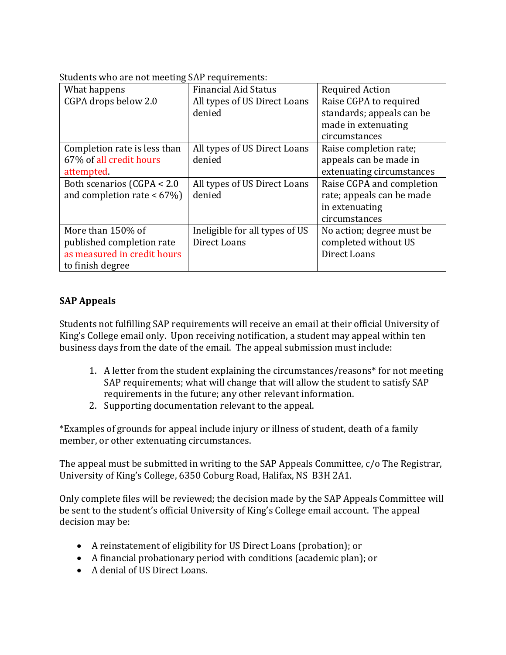Students who are not meeting SAP requirements:

| What happens                   | <b>Financial Aid Status</b>    | <b>Required Action</b>    |
|--------------------------------|--------------------------------|---------------------------|
| CGPA drops below 2.0           | All types of US Direct Loans   | Raise CGPA to required    |
|                                | denied                         | standards; appeals can be |
|                                |                                | made in extenuating       |
|                                |                                | circumstances             |
| Completion rate is less than   | All types of US Direct Loans   | Raise completion rate;    |
| 67% of all credit hours        | denied                         | appeals can be made in    |
| attempted.                     |                                | extenuating circumstances |
| Both scenarios (CGPA < 2.0     | All types of US Direct Loans   | Raise CGPA and completion |
| and completion rate $< 67\%$ ) | denied                         | rate; appeals can be made |
|                                |                                | in extenuating            |
|                                |                                | circumstances             |
| More than 150% of              | Ineligible for all types of US | No action; degree must be |
| published completion rate      | Direct Loans                   | completed without US      |
| as measured in credit hours    |                                | Direct Loans              |
| to finish degree               |                                |                           |

# **SAP Appeals**

Students not fulfilling SAP requirements will receive an email at their official University of King's College email only. Upon receiving notification, a student may appeal within ten business days from the date of the email. The appeal submission must include:

- 1. A letter from the student explaining the circumstances/reasons\* for not meeting SAP requirements; what will change that will allow the student to satisfy SAP requirements in the future; any other relevant information.
- 2. Supporting documentation relevant to the appeal.

\*Examples of grounds for appeal include injury or illness of student, death of a family member, or other extenuating circumstances.

The appeal must be submitted in writing to the SAP Appeals Committee, c/o The Registrar, University of King's College, 6350 Coburg Road, Halifax, NS B3H 2A1.

Only complete files will be reviewed; the decision made by the SAP Appeals Committee will be sent to the student's official University of King's College email account. The appeal decision may be:

- A reinstatement of eligibility for US Direct Loans (probation); or
- A financial probationary period with conditions (academic plan); or
- A denial of US Direct Loans.